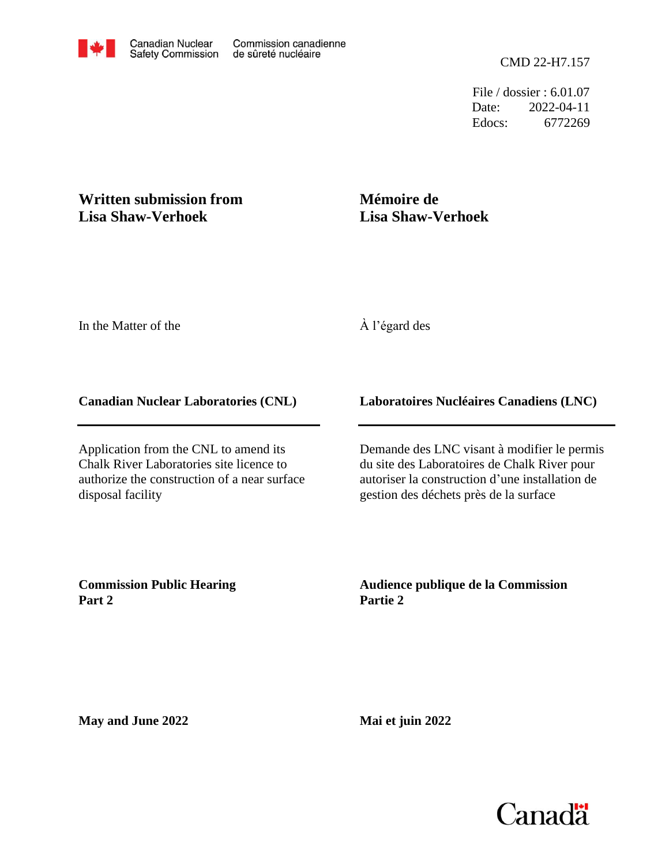File / dossier : 6.01.07 Date: 2022-04-11 Edocs: 6772269

## **Written submission from Lisa Shaw-Verhoek**

# **Mémoire de Lisa Shaw-Verhoek**

In the Matter of the

### À l'égard des

#### **Canadian Nuclear Laboratories (CNL)**

Application from the CNL to amend its Chalk River Laboratories site licence to authorize the construction of a near surface disposal facility

#### **Laboratoires Nucléaires Canadiens (LNC)**

Demande des LNC visant à modifier le permis du site des Laboratoires de Chalk River pour autoriser la construction d'une installation de gestion des déchets près de la surface

**Commission Public Hearing Part 2**

**Audience publique de la Commission Partie 2**

**May and June 2022**

**Mai et juin 2022**



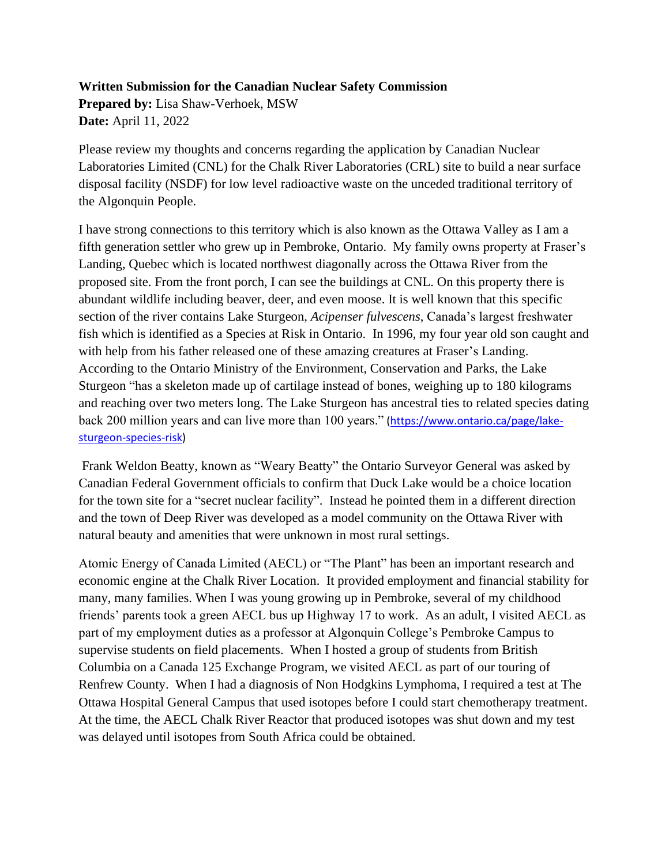#### **Written Submission for the Canadian Nuclear Safety Commission**

**Prepared by:** Lisa Shaw-Verhoek, MSW **Date:** April 11, 2022

Please review my thoughts and concerns regarding the application by Canadian Nuclear Laboratories Limited (CNL) for the Chalk River Laboratories (CRL) site to build a near surface disposal facility (NSDF) for low level radioactive waste on the unceded traditional territory of the Algonquin People.

I have strong connections to this territory which is also known as the Ottawa Valley as I am a fifth generation settler who grew up in Pembroke, Ontario. My family owns property at Fraser's Landing, Quebec which is located northwest diagonally across the Ottawa River from the proposed site. From the front porch, I can see the buildings at CNL. On this property there is abundant wildlife including beaver, deer, and even moose. It is well known that this specific section of the river contains Lake Sturgeon, *Acipenser fulvescens*, Canada's largest freshwater fish which is identified as a Species at Risk in Ontario. In 1996, my four year old son caught and with help from his father released one of these amazing creatures at Fraser's Landing. According to the Ontario Ministry of the Environment, Conservation and Parks, the Lake Sturgeon "has a skeleton made up of cartilage instead of bones, weighing up to 180 kilograms and reaching over two meters long. The Lake Sturgeon has ancestral ties to related species dating back 200 million years and can live more than 100 years." [\(https://www.ontario.ca/page/lake](https://www.ontario.ca/page/lake-sturgeon-species-risk)[sturgeon-species-risk\)](https://www.ontario.ca/page/lake-sturgeon-species-risk)

Frank Weldon Beatty, known as "Weary Beatty" the Ontario Surveyor General was asked by Canadian Federal Government officials to confirm that Duck Lake would be a choice location for the town site for a "secret nuclear facility". Instead he pointed them in a different direction and the town of Deep River was developed as a model community on the Ottawa River with natural beauty and amenities that were unknown in most rural settings.

Atomic Energy of Canada Limited (AECL) or "The Plant" has been an important research and economic engine at the Chalk River Location. It provided employment and financial stability for many, many families. When I was young growing up in Pembroke, several of my childhood friends' parents took a green AECL bus up Highway 17 to work. As an adult, I visited AECL as part of my employment duties as a professor at Algonquin College's Pembroke Campus to supervise students on field placements. When I hosted a group of students from British Columbia on a Canada 125 Exchange Program, we visited AECL as part of our touring of Renfrew County. When I had a diagnosis of Non Hodgkins Lymphoma, I required a test at The Ottawa Hospital General Campus that used isotopes before I could start chemotherapy treatment. At the time, the AECL Chalk River Reactor that produced isotopes was shut down and my test was delayed until isotopes from South Africa could be obtained.